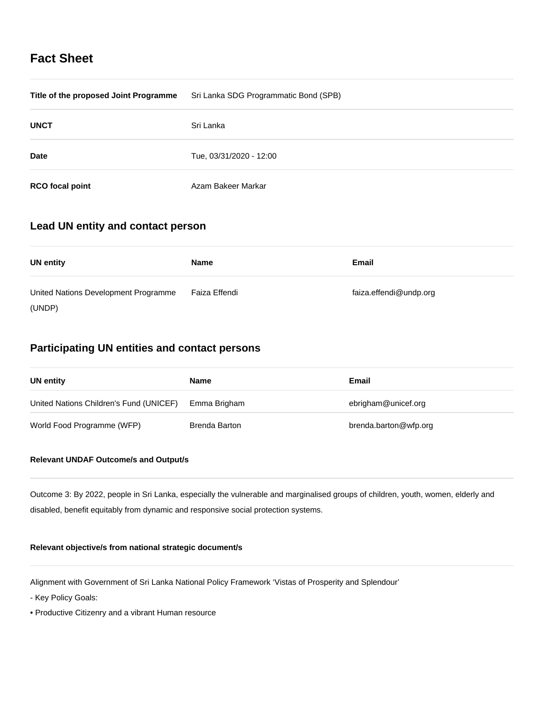# **Fact Sheet**

| Title of the proposed Joint Programme | Sri Lanka SDG Programmatic Bond (SPB) |
|---------------------------------------|---------------------------------------|
| <b>UNCT</b>                           | Sri Lanka                             |
| <b>Date</b>                           | Tue, 03/31/2020 - 12:00               |
| <b>RCO</b> focal point                | Azam Bakeer Markar                    |

# **Lead UN entity and contact person**

| <b>UN entity</b>                     | <b>Name</b>   | Email                  |
|--------------------------------------|---------------|------------------------|
| United Nations Development Programme | Faiza Effendi | faiza.effendi@undp.org |
| (UNDP)                               |               |                        |

# **Participating UN entities and contact persons**

| UN entity                               | <b>Name</b>   | Email                 |
|-----------------------------------------|---------------|-----------------------|
| United Nations Children's Fund (UNICEF) | Emma Brigham  | ebrigham@unicef.org   |
| World Food Programme (WFP)              | Brenda Barton | brenda.barton@wfp.org |

# **Relevant UNDAF Outcome/s and Output/s**

Outcome 3: By 2022, people in Sri Lanka, especially the vulnerable and marginalised groups of children, youth, women, elderly and disabled, benefit equitably from dynamic and responsive social protection systems.

## **Relevant objective/s from national strategic document/s**

Alignment with Government of Sri Lanka National Policy Framework 'Vistas of Prosperity and Splendour'

- Key Policy Goals:
- Productive Citizenry and a vibrant Human resource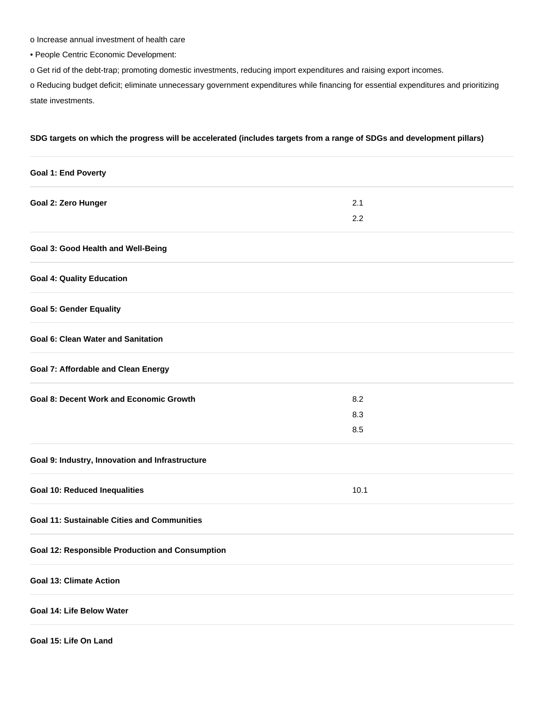o Increase annual investment of health care

• People Centric Economic Development:

o Get rid of the debt-trap; promoting domestic investments, reducing import expenditures and raising export incomes.

o Reducing budget deficit; eliminate unnecessary government expenditures while financing for essential expenditures and prioritizing state investments.

## **SDG targets on which the progress will be accelerated (includes targets from a range of SDGs and development pillars)**

| <b>Goal 1: End Poverty</b>                             |      |  |
|--------------------------------------------------------|------|--|
| Goal 2: Zero Hunger                                    | 2.1  |  |
|                                                        | 2.2  |  |
| Goal 3: Good Health and Well-Being                     |      |  |
| <b>Goal 4: Quality Education</b>                       |      |  |
| <b>Goal 5: Gender Equality</b>                         |      |  |
| <b>Goal 6: Clean Water and Sanitation</b>              |      |  |
| <b>Goal 7: Affordable and Clean Energy</b>             |      |  |
| <b>Goal 8: Decent Work and Economic Growth</b>         | 8.2  |  |
|                                                        | 8.3  |  |
|                                                        | 8.5  |  |
| Goal 9: Industry, Innovation and Infrastructure        |      |  |
| <b>Goal 10: Reduced Inequalities</b>                   | 10.1 |  |
| <b>Goal 11: Sustainable Cities and Communities</b>     |      |  |
| <b>Goal 12: Responsible Production and Consumption</b> |      |  |
| <b>Goal 13: Climate Action</b>                         |      |  |
| Goal 14: Life Below Water                              |      |  |
| Goal 15: Life On Land                                  |      |  |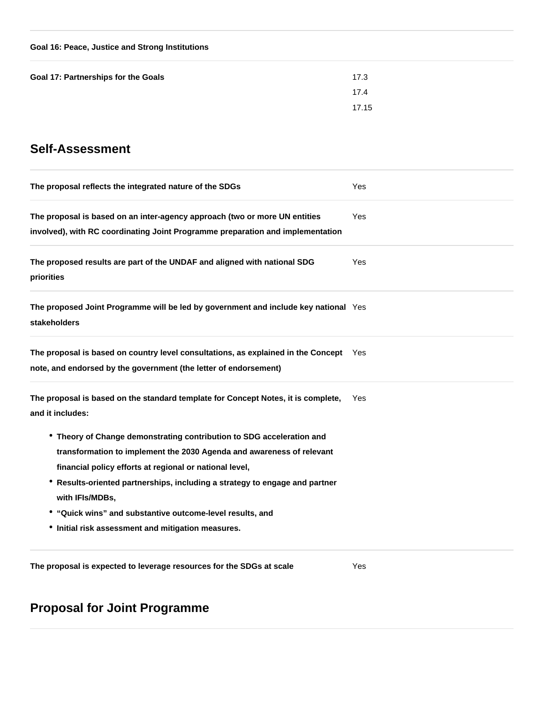| Goal 16: Peace, Justice and Strong Institutions |  |  |
|-------------------------------------------------|--|--|
|                                                 |  |  |

| Goal 17: Partnerships for the Goals | 17.3  |
|-------------------------------------|-------|
|                                     | 17.4  |
|                                     | 17.15 |

# **Self-Assessment**

| The proposal reflects the integrated nature of the SDGs                                                                                                                                                                                                                                                                                                                                                                        | Yes        |
|--------------------------------------------------------------------------------------------------------------------------------------------------------------------------------------------------------------------------------------------------------------------------------------------------------------------------------------------------------------------------------------------------------------------------------|------------|
| The proposal is based on an inter-agency approach (two or more UN entities<br>involved), with RC coordinating Joint Programme preparation and implementation                                                                                                                                                                                                                                                                   | <b>Yes</b> |
| The proposed results are part of the UNDAF and aligned with national SDG<br>priorities                                                                                                                                                                                                                                                                                                                                         | Yes        |
| The proposed Joint Programme will be led by government and include key national Yes<br><b>stakeholders</b>                                                                                                                                                                                                                                                                                                                     |            |
| The proposal is based on country level consultations, as explained in the Concept Yes<br>note, and endorsed by the government (the letter of endorsement)                                                                                                                                                                                                                                                                      |            |
| The proposal is based on the standard template for Concept Notes, it is complete,<br>and it includes:                                                                                                                                                                                                                                                                                                                          | <b>Yes</b> |
| • Theory of Change demonstrating contribution to SDG acceleration and<br>transformation to implement the 2030 Agenda and awareness of relevant<br>financial policy efforts at regional or national level,<br>* Results-oriented partnerships, including a strategy to engage and partner<br>with IFIs/MDBs,<br>• "Quick wins" and substantive outcome-level results, and<br>• Initial risk assessment and mitigation measures. |            |
| The proposal is expected to leverage resources for the SDGs at scale                                                                                                                                                                                                                                                                                                                                                           | Yes        |

# **Proposal for Joint Programme**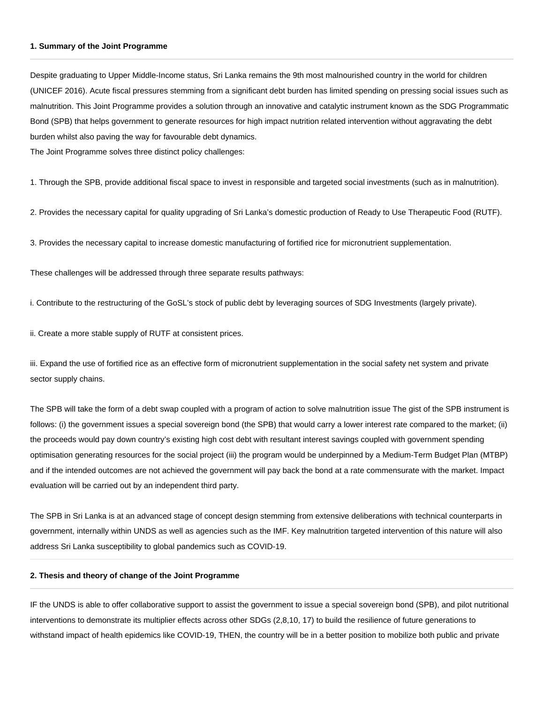#### **1. Summary of the Joint Programme**

Despite graduating to Upper Middle-Income status, Sri Lanka remains the 9th most malnourished country in the world for children (UNICEF 2016). Acute fiscal pressures stemming from a significant debt burden has limited spending on pressing social issues such as malnutrition. This Joint Programme provides a solution through an innovative and catalytic instrument known as the SDG Programmatic Bond (SPB) that helps government to generate resources for high impact nutrition related intervention without aggravating the debt burden whilst also paving the way for favourable debt dynamics.

The Joint Programme solves three distinct policy challenges:

1. Through the SPB, provide additional fiscal space to invest in responsible and targeted social investments (such as in malnutrition).

2. Provides the necessary capital for quality upgrading of Sri Lanka's domestic production of Ready to Use Therapeutic Food (RUTF).

3. Provides the necessary capital to increase domestic manufacturing of fortified rice for micronutrient supplementation.

These challenges will be addressed through three separate results pathways:

i. Contribute to the restructuring of the GoSL's stock of public debt by leveraging sources of SDG Investments (largely private).

ii. Create a more stable supply of RUTF at consistent prices.

iii. Expand the use of fortified rice as an effective form of micronutrient supplementation in the social safety net system and private sector supply chains.

The SPB will take the form of a debt swap coupled with a program of action to solve malnutrition issue The gist of the SPB instrument is follows: (i) the government issues a special sovereign bond (the SPB) that would carry a lower interest rate compared to the market; (ii) the proceeds would pay down country's existing high cost debt with resultant interest savings coupled with government spending optimisation generating resources for the social project (iii) the program would be underpinned by a Medium-Term Budget Plan (MTBP) and if the intended outcomes are not achieved the government will pay back the bond at a rate commensurate with the market. Impact evaluation will be carried out by an independent third party.

The SPB in Sri Lanka is at an advanced stage of concept design stemming from extensive deliberations with technical counterparts in government, internally within UNDS as well as agencies such as the IMF. Key malnutrition targeted intervention of this nature will also address Sri Lanka susceptibility to global pandemics such as COVID-19.

### **2. Thesis and theory of change of the Joint Programme**

IF the UNDS is able to offer collaborative support to assist the government to issue a special sovereign bond (SPB), and pilot nutritional interventions to demonstrate its multiplier effects across other SDGs (2,8,10, 17) to build the resilience of future generations to withstand impact of health epidemics like COVID-19, THEN, the country will be in a better position to mobilize both public and private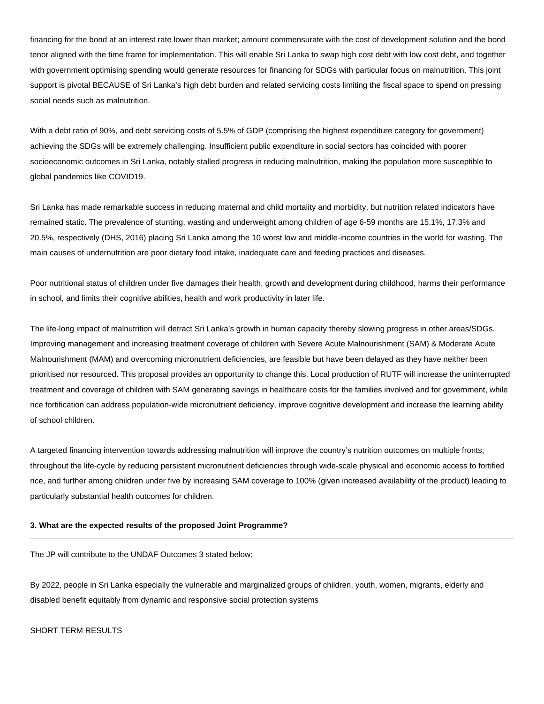financing for the bond at an interest rate lower than market; amount commensurate with the cost of development solution and the bond tenor aligned with the time frame for implementation. This will enable Sri Lanka to swap high cost debt with low cost debt, and together with government optimising spending would generate resources for financing for SDGs with particular focus on malnutrition. This joint support is pivotal BECAUSE of Sri Lanka's high debt burden and related servicing costs limiting the fiscal space to spend on pressing social needs such as malnutrition.

With a debt ratio of 90%, and debt servicing costs of 5.5% of GDP (comprising the highest expenditure category for government) achieving the SDGs will be extremely challenging. Insufficient public expenditure in social sectors has coincided with poorer socioeconomic outcomes in Sri Lanka, notably stalled progress in reducing malnutrition, making the population more susceptible to global pandemics like COVID19.

Sri Lanka has made remarkable success in reducing maternal and child mortality and morbidity, but nutrition related indicators have remained static. The prevalence of stunting, wasting and underweight among children of age 6-59 months are 15.1%, 17.3% and 20.5%, respectively (DHS, 2016) placing Sri Lanka among the 10 worst low and middle-income countries in the world for wasting. The main causes of undernutrition are poor dietary food intake, inadequate care and feeding practices and diseases.

Poor nutritional status of children under five damages their health, growth and development during childhood, harms their performance in school, and limits their cognitive abilities, health and work productivity in later life.

The life-long impact of malnutrition will detract Sri Lanka's growth in human capacity thereby slowing progress in other areas/SDGs. Improving management and increasing treatment coverage of children with Severe Acute Malnourishment (SAM) & Moderate Acute Malnourishment (MAM) and overcoming micronutrient deficiencies, are feasible but have been delayed as they have neither been prioritised nor resourced. This proposal provides an opportunity to change this. Local production of RUTF will increase the uninterrupted treatment and coverage of children with SAM generating savings in healthcare costs for the families involved and for government, while rice fortification can address population-wide micronutrient deficiency, improve cognitive development and increase the learning ability of school children.

A targeted financing intervention towards addressing malnutrition will improve the country's nutrition outcomes on multiple fronts; throughout the life-cycle by reducing persistent micronutrient deficiencies through wide-scale physical and economic access to fortified rice, and further among children under five by increasing SAM coverage to 100% (given increased availability of the product) leading to particularly substantial health outcomes for children.

#### **3. What are the expected results of the proposed Joint Programme?**

The JP will contribute to the UNDAF Outcomes 3 stated below:

By 2022, people in Sri Lanka especially the vulnerable and marginalized groups of children, youth, women, migrants, elderly and disabled benefit equitably from dynamic and responsive social protection systems

SHORT TERM RESULTS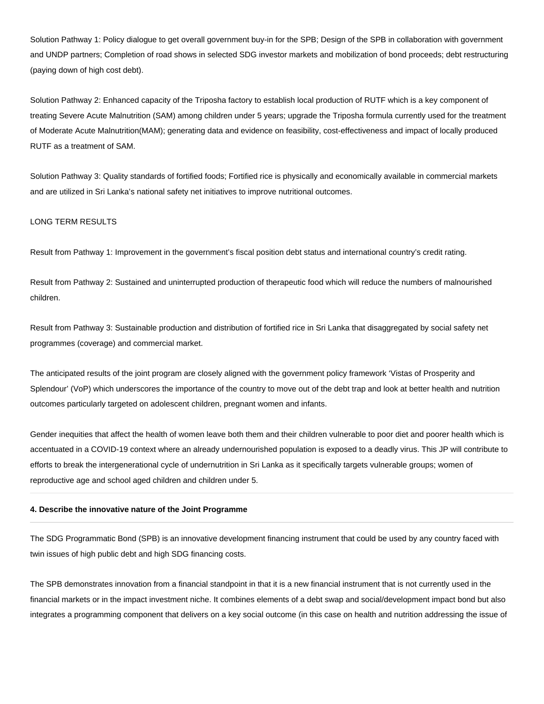Solution Pathway 1: Policy dialogue to get overall government buy-in for the SPB; Design of the SPB in collaboration with government and UNDP partners; Completion of road shows in selected SDG investor markets and mobilization of bond proceeds; debt restructuring (paying down of high cost debt).

Solution Pathway 2: Enhanced capacity of the Triposha factory to establish local production of RUTF which is a key component of treating Severe Acute Malnutrition (SAM) among children under 5 years; upgrade the Triposha formula currently used for the treatment of Moderate Acute Malnutrition(MAM); generating data and evidence on feasibility, cost-effectiveness and impact of locally produced RUTF as a treatment of SAM.

Solution Pathway 3: Quality standards of fortified foods; Fortified rice is physically and economically available in commercial markets and are utilized in Sri Lanka's national safety net initiatives to improve nutritional outcomes.

## LONG TERM RESULTS

Result from Pathway 1: Improvement in the government's fiscal position debt status and international country's credit rating.

Result from Pathway 2: Sustained and uninterrupted production of therapeutic food which will reduce the numbers of malnourished children.

Result from Pathway 3: Sustainable production and distribution of fortified rice in Sri Lanka that disaggregated by social safety net programmes (coverage) and commercial market.

The anticipated results of the joint program are closely aligned with the government policy framework 'Vistas of Prosperity and Splendour' (VoP) which underscores the importance of the country to move out of the debt trap and look at better health and nutrition outcomes particularly targeted on adolescent children, pregnant women and infants.

Gender inequities that affect the health of women leave both them and their children vulnerable to poor diet and poorer health which is accentuated in a COVID-19 context where an already undernourished population is exposed to a deadly virus. This JP will contribute to efforts to break the intergenerational cycle of undernutrition in Sri Lanka as it specifically targets vulnerable groups; women of reproductive age and school aged children and children under 5.

#### **4. Describe the innovative nature of the Joint Programme**

The SDG Programmatic Bond (SPB) is an innovative development financing instrument that could be used by any country faced with twin issues of high public debt and high SDG financing costs.

The SPB demonstrates innovation from a financial standpoint in that it is a new financial instrument that is not currently used in the financial markets or in the impact investment niche. It combines elements of a debt swap and social/development impact bond but also integrates a programming component that delivers on a key social outcome (in this case on health and nutrition addressing the issue of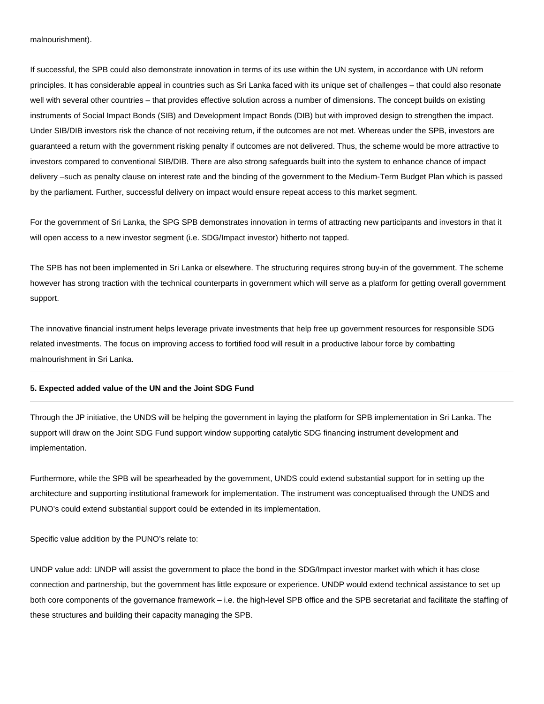#### malnourishment).

If successful, the SPB could also demonstrate innovation in terms of its use within the UN system, in accordance with UN reform principles. It has considerable appeal in countries such as Sri Lanka faced with its unique set of challenges – that could also resonate well with several other countries – that provides effective solution across a number of dimensions. The concept builds on existing instruments of Social Impact Bonds (SIB) and Development Impact Bonds (DIB) but with improved design to strengthen the impact. Under SIB/DIB investors risk the chance of not receiving return, if the outcomes are not met. Whereas under the SPB, investors are guaranteed a return with the government risking penalty if outcomes are not delivered. Thus, the scheme would be more attractive to investors compared to conventional SIB/DIB. There are also strong safeguards built into the system to enhance chance of impact delivery –such as penalty clause on interest rate and the binding of the government to the Medium-Term Budget Plan which is passed by the parliament. Further, successful delivery on impact would ensure repeat access to this market segment.

For the government of Sri Lanka, the SPG SPB demonstrates innovation in terms of attracting new participants and investors in that it will open access to a new investor segment (i.e. SDG/Impact investor) hitherto not tapped.

The SPB has not been implemented in Sri Lanka or elsewhere. The structuring requires strong buy-in of the government. The scheme however has strong traction with the technical counterparts in government which will serve as a platform for getting overall government support.

The innovative financial instrument helps leverage private investments that help free up government resources for responsible SDG related investments. The focus on improving access to fortified food will result in a productive labour force by combatting malnourishment in Sri Lanka.

#### **5. Expected added value of the UN and the Joint SDG Fund**

Through the JP initiative, the UNDS will be helping the government in laying the platform for SPB implementation in Sri Lanka. The support will draw on the Joint SDG Fund support window supporting catalytic SDG financing instrument development and implementation.

Furthermore, while the SPB will be spearheaded by the government, UNDS could extend substantial support for in setting up the architecture and supporting institutional framework for implementation. The instrument was conceptualised through the UNDS and PUNO's could extend substantial support could be extended in its implementation.

Specific value addition by the PUNO's relate to:

UNDP value add: UNDP will assist the government to place the bond in the SDG/Impact investor market with which it has close connection and partnership, but the government has little exposure or experience. UNDP would extend technical assistance to set up both core components of the governance framework – i.e. the high-level SPB office and the SPB secretariat and facilitate the staffing of these structures and building their capacity managing the SPB.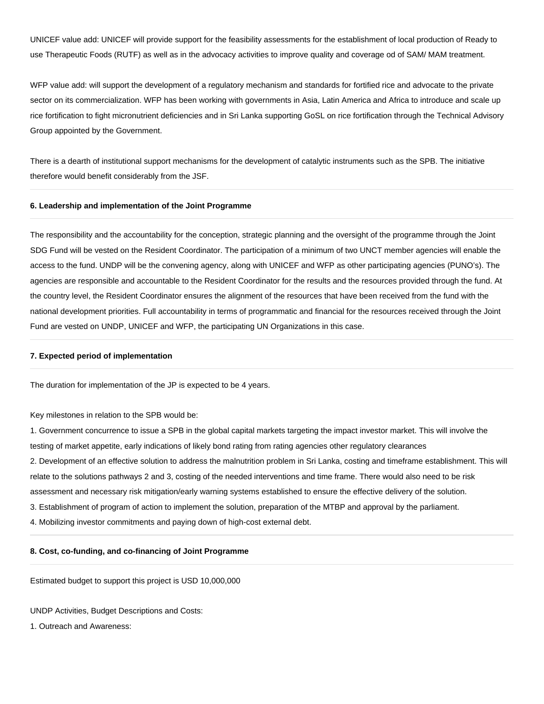UNICEF value add: UNICEF will provide support for the feasibility assessments for the establishment of local production of Ready to use Therapeutic Foods (RUTF) as well as in the advocacy activities to improve quality and coverage od of SAM/ MAM treatment.

WFP value add: will support the development of a regulatory mechanism and standards for fortified rice and advocate to the private sector on its commercialization. WFP has been working with governments in Asia, Latin America and Africa to introduce and scale up rice fortification to fight micronutrient deficiencies and in Sri Lanka supporting GoSL on rice fortification through the Technical Advisory Group appointed by the Government.

There is a dearth of institutional support mechanisms for the development of catalytic instruments such as the SPB. The initiative therefore would benefit considerably from the JSF.

#### **6. Leadership and implementation of the Joint Programme**

The responsibility and the accountability for the conception, strategic planning and the oversight of the programme through the Joint SDG Fund will be vested on the Resident Coordinator. The participation of a minimum of two UNCT member agencies will enable the access to the fund. UNDP will be the convening agency, along with UNICEF and WFP as other participating agencies (PUNO's). The agencies are responsible and accountable to the Resident Coordinator for the results and the resources provided through the fund. At the country level, the Resident Coordinator ensures the alignment of the resources that have been received from the fund with the national development priorities. Full accountability in terms of programmatic and financial for the resources received through the Joint Fund are vested on UNDP, UNICEF and WFP, the participating UN Organizations in this case.

#### **7. Expected period of implementation**

The duration for implementation of the JP is expected to be 4 years.

Key milestones in relation to the SPB would be:

1. Government concurrence to issue a SPB in the global capital markets targeting the impact investor market. This will involve the testing of market appetite, early indications of likely bond rating from rating agencies other regulatory clearances 2. Development of an effective solution to address the malnutrition problem in Sri Lanka, costing and timeframe establishment. This will relate to the solutions pathways 2 and 3, costing of the needed interventions and time frame. There would also need to be risk assessment and necessary risk mitigation/early warning systems established to ensure the effective delivery of the solution. 3. Establishment of program of action to implement the solution, preparation of the MTBP and approval by the parliament.

4. Mobilizing investor commitments and paying down of high-cost external debt.

#### **8. Cost, co-funding, and co-financing of Joint Programme**

Estimated budget to support this project is USD 10,000,000

UNDP Activities, Budget Descriptions and Costs:

1. Outreach and Awareness: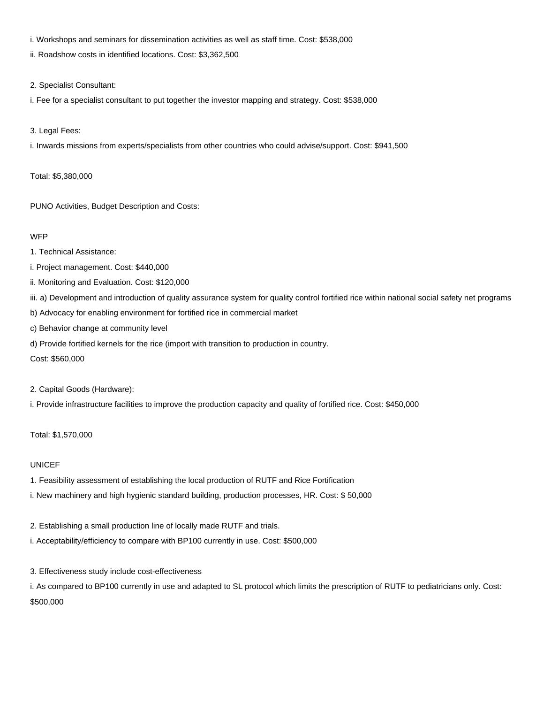- i. Workshops and seminars for dissemination activities as well as staff time. Cost: \$538,000
- ii. Roadshow costs in identified locations. Cost: \$3,362,500
- 2. Specialist Consultant:
- i. Fee for a specialist consultant to put together the investor mapping and strategy. Cost: \$538,000
- 3. Legal Fees:

i. Inwards missions from experts/specialists from other countries who could advise/support. Cost: \$941,500

Total: \$5,380,000

PUNO Activities, Budget Description and Costs:

#### **WFP**

- 1. Technical Assistance:
- i. Project management. Cost: \$440,000
- ii. Monitoring and Evaluation. Cost: \$120,000
- iii. a) Development and introduction of quality assurance system for quality control fortified rice within national social safety net programs
- b) Advocacy for enabling environment for fortified rice in commercial market
- c) Behavior change at community level
- d) Provide fortified kernels for the rice (import with transition to production in country.
- Cost: \$560,000

2. Capital Goods (Hardware):

i. Provide infrastructure facilities to improve the production capacity and quality of fortified rice. Cost: \$450,000

## Total: \$1,570,000

## UNICEF

- 1. Feasibility assessment of establishing the local production of RUTF and Rice Fortification
- i. New machinery and high hygienic standard building, production processes, HR. Cost: \$ 50,000
- 2. Establishing a small production line of locally made RUTF and trials.
- i. Acceptability/efficiency to compare with BP100 currently in use. Cost: \$500,000
- 3. Effectiveness study include cost-effectiveness
- i. As compared to BP100 currently in use and adapted to SL protocol which limits the prescription of RUTF to pediatricians only. Cost: \$500,000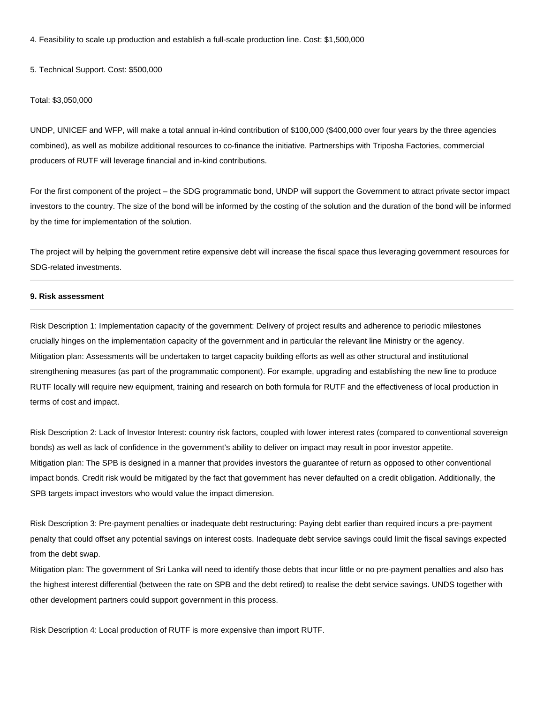4. Feasibility to scale up production and establish a full-scale production line. Cost: \$1,500,000

5. Technical Support. Cost: \$500,000

#### Total: \$3,050,000

UNDP, UNICEF and WFP, will make a total annual in-kind contribution of \$100,000 (\$400,000 over four years by the three agencies combined), as well as mobilize additional resources to co-finance the initiative. Partnerships with Triposha Factories, commercial producers of RUTF will leverage financial and in-kind contributions.

For the first component of the project – the SDG programmatic bond, UNDP will support the Government to attract private sector impact investors to the country. The size of the bond will be informed by the costing of the solution and the duration of the bond will be informed by the time for implementation of the solution.

The project will by helping the government retire expensive debt will increase the fiscal space thus leveraging government resources for SDG-related investments.

#### **9. Risk assessment**

Risk Description 1: Implementation capacity of the government: Delivery of project results and adherence to periodic milestones crucially hinges on the implementation capacity of the government and in particular the relevant line Ministry or the agency. Mitigation plan: Assessments will be undertaken to target capacity building efforts as well as other structural and institutional strengthening measures (as part of the programmatic component). For example, upgrading and establishing the new line to produce RUTF locally will require new equipment, training and research on both formula for RUTF and the effectiveness of local production in terms of cost and impact.

Risk Description 2: Lack of Investor Interest: country risk factors, coupled with lower interest rates (compared to conventional sovereign bonds) as well as lack of confidence in the government's ability to deliver on impact may result in poor investor appetite. Mitigation plan: The SPB is designed in a manner that provides investors the guarantee of return as opposed to other conventional impact bonds. Credit risk would be mitigated by the fact that government has never defaulted on a credit obligation. Additionally, the SPB targets impact investors who would value the impact dimension.

Risk Description 3: Pre-payment penalties or inadequate debt restructuring: Paying debt earlier than required incurs a pre-payment penalty that could offset any potential savings on interest costs. Inadequate debt service savings could limit the fiscal savings expected from the debt swap.

Mitigation plan: The government of Sri Lanka will need to identify those debts that incur little or no pre-payment penalties and also has the highest interest differential (between the rate on SPB and the debt retired) to realise the debt service savings. UNDS together with other development partners could support government in this process.

Risk Description 4: Local production of RUTF is more expensive than import RUTF.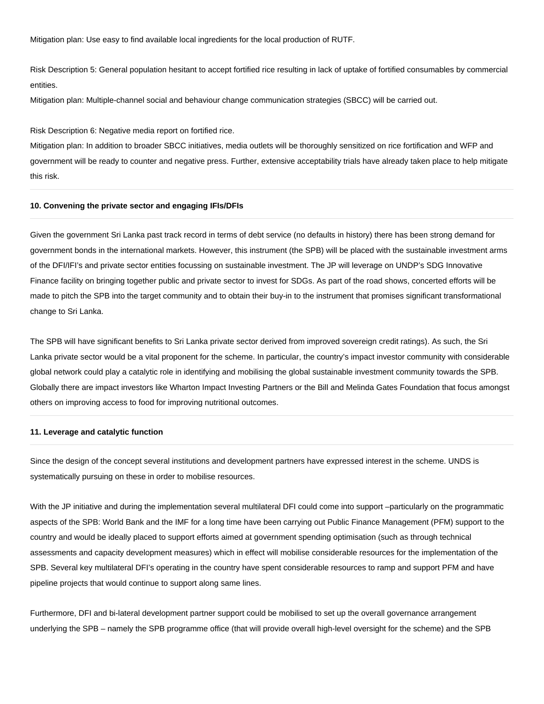Mitigation plan: Use easy to find available local ingredients for the local production of RUTF.

Risk Description 5: General population hesitant to accept fortified rice resulting in lack of uptake of fortified consumables by commercial entities.

Mitigation plan: Multiple-channel social and behaviour change communication strategies (SBCC) will be carried out.

Risk Description 6: Negative media report on fortified rice.

Mitigation plan: In addition to broader SBCC initiatives, media outlets will be thoroughly sensitized on rice fortification and WFP and government will be ready to counter and negative press. Further, extensive acceptability trials have already taken place to help mitigate this risk.

#### **10. Convening the private sector and engaging IFIs/DFIs**

Given the government Sri Lanka past track record in terms of debt service (no defaults in history) there has been strong demand for government bonds in the international markets. However, this instrument (the SPB) will be placed with the sustainable investment arms of the DFI/IFI's and private sector entities focussing on sustainable investment. The JP will leverage on UNDP's SDG Innovative Finance facility on bringing together public and private sector to invest for SDGs. As part of the road shows, concerted efforts will be made to pitch the SPB into the target community and to obtain their buy-in to the instrument that promises significant transformational change to Sri Lanka.

The SPB will have significant benefits to Sri Lanka private sector derived from improved sovereign credit ratings). As such, the Sri Lanka private sector would be a vital proponent for the scheme. In particular, the country's impact investor community with considerable global network could play a catalytic role in identifying and mobilising the global sustainable investment community towards the SPB. Globally there are impact investors like Wharton Impact Investing Partners or the Bill and Melinda Gates Foundation that focus amongst others on improving access to food for improving nutritional outcomes.

#### **11. Leverage and catalytic function**

Since the design of the concept several institutions and development partners have expressed interest in the scheme. UNDS is systematically pursuing on these in order to mobilise resources.

With the JP initiative and during the implementation several multilateral DFI could come into support –particularly on the programmatic aspects of the SPB: World Bank and the IMF for a long time have been carrying out Public Finance Management (PFM) support to the country and would be ideally placed to support efforts aimed at government spending optimisation (such as through technical assessments and capacity development measures) which in effect will mobilise considerable resources for the implementation of the SPB. Several key multilateral DFI's operating in the country have spent considerable resources to ramp and support PFM and have pipeline projects that would continue to support along same lines.

Furthermore, DFI and bi-lateral development partner support could be mobilised to set up the overall governance arrangement underlying the SPB – namely the SPB programme office (that will provide overall high-level oversight for the scheme) and the SPB